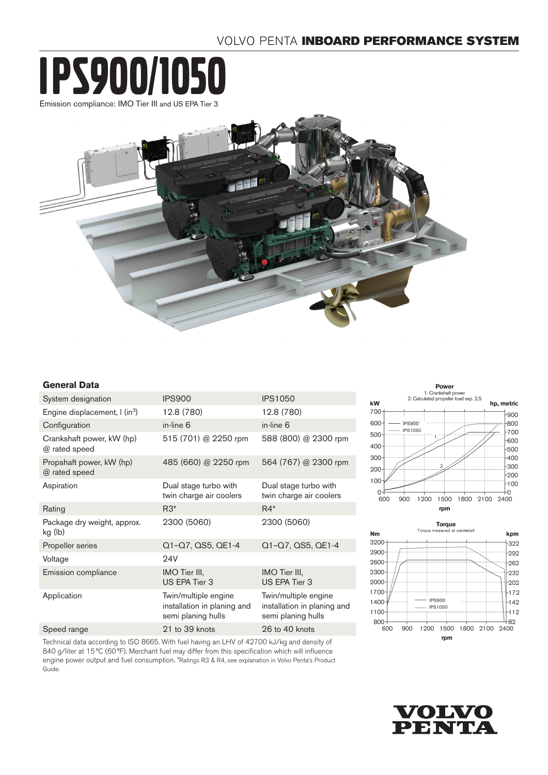# VOLVO PENTA INBOARD PERFORMANCE SYSTEM





## **General Data**

| System designation                         | <b>IPS900</b>                                                             | <b>IPS1050</b>                                                            |
|--------------------------------------------|---------------------------------------------------------------------------|---------------------------------------------------------------------------|
| Engine displacement, I (in <sup>3</sup> )  | 12.8 (780)                                                                | 12.8 (780)                                                                |
| Configuration                              | in-line 6                                                                 | in-line 6                                                                 |
| Crankshaft power, kW (hp)<br>@ rated speed | 515 (701) @ 2250 rpm                                                      | 588 (800) @ 2300 rpm                                                      |
| Propshaft power, kW (hp)<br>@ rated speed  | 485 (660) @ 2250 rpm                                                      | 564 (767) @ 2300 rpm                                                      |
| Aspiration                                 | Dual stage turbo with<br>twin charge air coolers                          | Dual stage turbo with<br>twin charge air coolers                          |
| Rating                                     | $R3*$                                                                     | $R4*$                                                                     |
| Package dry weight, approx.<br>kg (lb)     | 2300 (5060)                                                               | 2300 (5060)                                                               |
| Propeller series                           | Q1-Q7, QS5, QE1-4                                                         | Q1-Q7, QS5, QE1-4                                                         |
| Voltage                                    | <b>24V</b>                                                                |                                                                           |
| Emission compliance                        | IMO Tier III,<br>US EPA Tier 3                                            | IMO Tier III,<br>US EPA Tier 3                                            |
| Application                                | Twin/multiple engine<br>installation in planing and<br>semi planing hulls | Twin/multiple engine<br>installation in planing and<br>semi planing hulls |
| Speed range                                | 21 to 39 knots                                                            | 26 to 40 knots                                                            |
|                                            |                                                                           |                                                                           |

Technical data according to ISO 8665. With fuel having an LHV of 42700 kJ/kg and density of 840 g/liter at 15 °C (60°F). Merchant fuel may differ from this specification which will influence engine power output and fuel consumption. \*Ratings R3 & R4, see explanation in Volvo Penta's Product Guide.